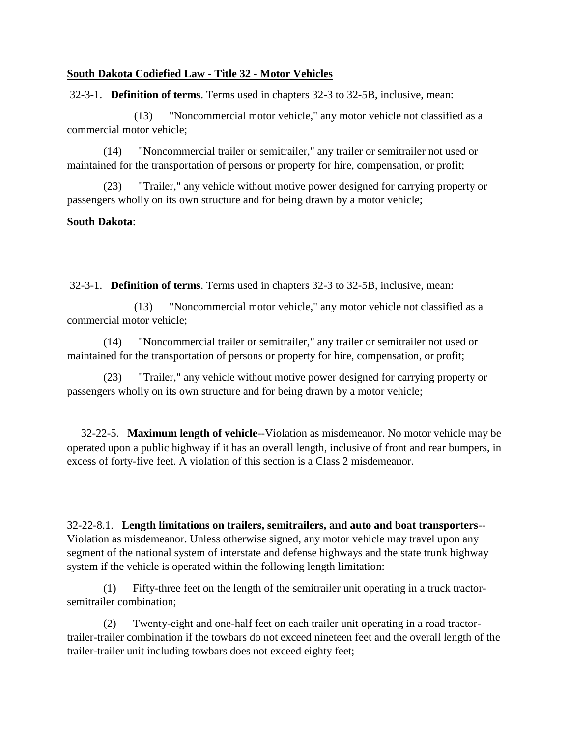## **[South Dakota Codiefied Law -](http://legis.sd.gov/Statutes/DisplayStatute.aspx?Type=Statute&Statute=32) Title 32 - Motor Vehicles**

32-3-1. **Definition of terms**. Terms used in chapters 32-3 to 32-5B, inclusive, mean:

(13) "Noncommercial motor vehicle," any motor vehicle not classified as a commercial motor vehicle;

 (14) "Noncommercial trailer or semitrailer," any trailer or semitrailer not used or maintained for the transportation of persons or property for hire, compensation, or profit;

 (23) "Trailer," any vehicle without motive power designed for carrying property or passengers wholly on its own structure and for being drawn by a motor vehicle;

## **South Dakota**:

32-3-1. **Definition of terms**. Terms used in chapters 32-3 to 32-5B, inclusive, mean:

(13) "Noncommercial motor vehicle," any motor vehicle not classified as a commercial motor vehicle;

 (14) "Noncommercial trailer or semitrailer," any trailer or semitrailer not used or maintained for the transportation of persons or property for hire, compensation, or profit;

 (23) "Trailer," any vehicle without motive power designed for carrying property or passengers wholly on its own structure and for being drawn by a motor vehicle;

 32-22-5. **Maximum length of vehicle**--Violation as misdemeanor. No motor vehicle may be operated upon a public highway if it has an overall length, inclusive of front and rear bumpers, in excess of forty-five feet. A violation of this section is a Class 2 misdemeanor.

32-22-8.1. **Length limitations on trailers, semitrailers, and auto and boat transporters**-- Violation as misdemeanor. Unless otherwise signed, any motor vehicle may travel upon any segment of the national system of interstate and defense highways and the state trunk highway system if the vehicle is operated within the following length limitation:

 (1) Fifty-three feet on the length of the semitrailer unit operating in a truck tractorsemitrailer combination;

 (2) Twenty-eight and one-half feet on each trailer unit operating in a road tractortrailer-trailer combination if the towbars do not exceed nineteen feet and the overall length of the trailer-trailer unit including towbars does not exceed eighty feet;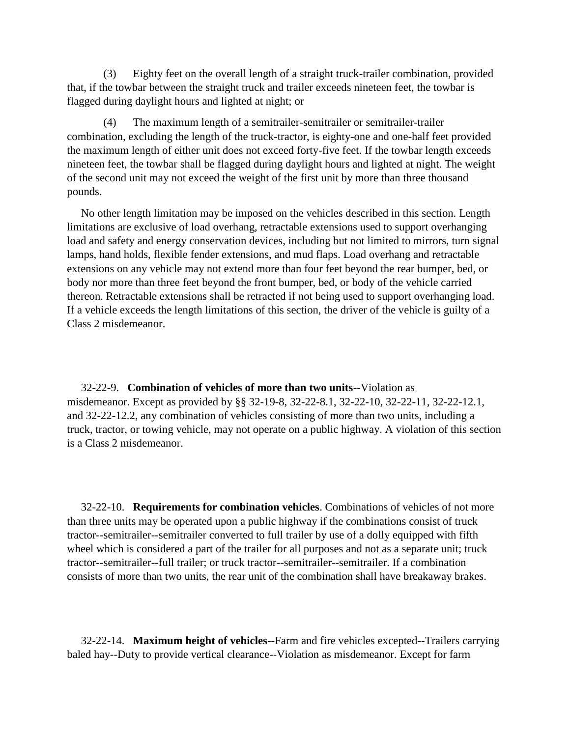(3) Eighty feet on the overall length of a straight truck-trailer combination, provided that, if the towbar between the straight truck and trailer exceeds nineteen feet, the towbar is flagged during daylight hours and lighted at night; or

 (4) The maximum length of a semitrailer-semitrailer or semitrailer-trailer combination, excluding the length of the truck-tractor, is eighty-one and one-half feet provided the maximum length of either unit does not exceed forty-five feet. If the towbar length exceeds nineteen feet, the towbar shall be flagged during daylight hours and lighted at night. The weight of the second unit may not exceed the weight of the first unit by more than three thousand pounds.

 No other length limitation may be imposed on the vehicles described in this section. Length limitations are exclusive of load overhang, retractable extensions used to support overhanging load and safety and energy conservation devices, including but not limited to mirrors, turn signal lamps, hand holds, flexible fender extensions, and mud flaps. Load overhang and retractable extensions on any vehicle may not extend more than four feet beyond the rear bumper, bed, or body nor more than three feet beyond the front bumper, bed, or body of the vehicle carried thereon. Retractable extensions shall be retracted if not being used to support overhanging load. If a vehicle exceeds the length limitations of this section, the driver of the vehicle is guilty of a Class 2 misdemeanor.

 32-22-9. **Combination of vehicles of more than two units**--Violation as misdemeanor. Except as provided by §§ 32-19-8, 32-22-8.1, 32-22-10, 32-22-11, 32-22-12.1, and 32-22-12.2, any combination of vehicles consisting of more than two units, including a truck, tractor, or towing vehicle, may not operate on a public highway. A violation of this section is a Class 2 misdemeanor.

 32-22-10. **Requirements for combination vehicles**. Combinations of vehicles of not more than three units may be operated upon a public highway if the combinations consist of truck tractor--semitrailer--semitrailer converted to full trailer by use of a dolly equipped with fifth wheel which is considered a part of the trailer for all purposes and not as a separate unit; truck tractor--semitrailer--full trailer; or truck tractor--semitrailer--semitrailer. If a combination consists of more than two units, the rear unit of the combination shall have breakaway brakes.

 32-22-14. **Maximum height of vehicles**--Farm and fire vehicles excepted--Trailers carrying baled hay--Duty to provide vertical clearance--Violation as misdemeanor. Except for farm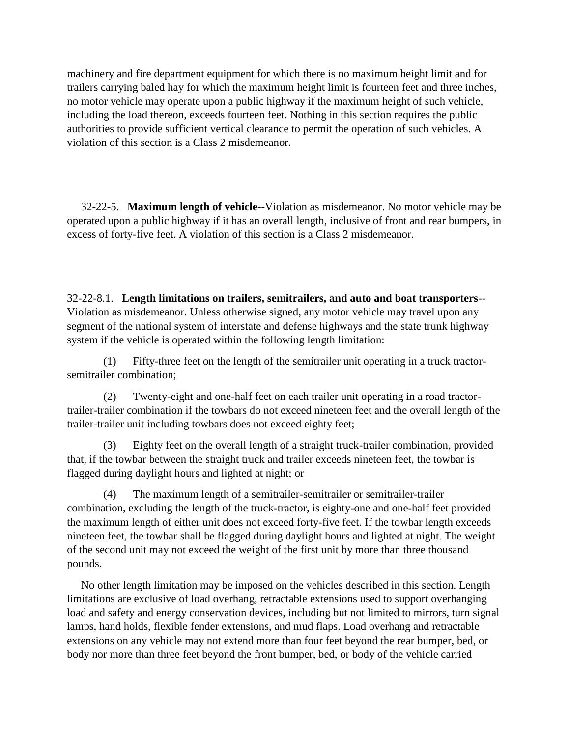machinery and fire department equipment for which there is no maximum height limit and for trailers carrying baled hay for which the maximum height limit is fourteen feet and three inches, no motor vehicle may operate upon a public highway if the maximum height of such vehicle, including the load thereon, exceeds fourteen feet. Nothing in this section requires the public authorities to provide sufficient vertical clearance to permit the operation of such vehicles. A violation of this section is a Class 2 misdemeanor.

 32-22-5. **Maximum length of vehicle**--Violation as misdemeanor. No motor vehicle may be operated upon a public highway if it has an overall length, inclusive of front and rear bumpers, in excess of forty-five feet. A violation of this section is a Class 2 misdemeanor.

32-22-8.1. **Length limitations on trailers, semitrailers, and auto and boat transporters**-- Violation as misdemeanor. Unless otherwise signed, any motor vehicle may travel upon any segment of the national system of interstate and defense highways and the state trunk highway system if the vehicle is operated within the following length limitation:

 (1) Fifty-three feet on the length of the semitrailer unit operating in a truck tractorsemitrailer combination;

 (2) Twenty-eight and one-half feet on each trailer unit operating in a road tractortrailer-trailer combination if the towbars do not exceed nineteen feet and the overall length of the trailer-trailer unit including towbars does not exceed eighty feet;

 (3) Eighty feet on the overall length of a straight truck-trailer combination, provided that, if the towbar between the straight truck and trailer exceeds nineteen feet, the towbar is flagged during daylight hours and lighted at night; or

 (4) The maximum length of a semitrailer-semitrailer or semitrailer-trailer combination, excluding the length of the truck-tractor, is eighty-one and one-half feet provided the maximum length of either unit does not exceed forty-five feet. If the towbar length exceeds nineteen feet, the towbar shall be flagged during daylight hours and lighted at night. The weight of the second unit may not exceed the weight of the first unit by more than three thousand pounds.

 No other length limitation may be imposed on the vehicles described in this section. Length limitations are exclusive of load overhang, retractable extensions used to support overhanging load and safety and energy conservation devices, including but not limited to mirrors, turn signal lamps, hand holds, flexible fender extensions, and mud flaps. Load overhang and retractable extensions on any vehicle may not extend more than four feet beyond the rear bumper, bed, or body nor more than three feet beyond the front bumper, bed, or body of the vehicle carried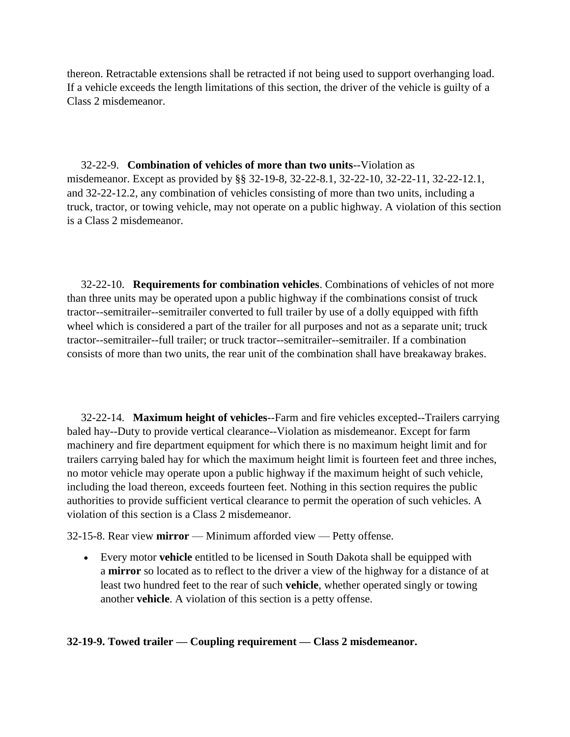thereon. Retractable extensions shall be retracted if not being used to support overhanging load. If a vehicle exceeds the length limitations of this section, the driver of the vehicle is guilty of a Class 2 misdemeanor.

 32-22-9. **Combination of vehicles of more than two units**--Violation as misdemeanor. Except as provided by §§ 32-19-8, 32-22-8.1, 32-22-10, 32-22-11, 32-22-12.1, and 32-22-12.2, any combination of vehicles consisting of more than two units, including a truck, tractor, or towing vehicle, may not operate on a public highway. A violation of this section is a Class 2 misdemeanor.

 32-22-10. **Requirements for combination vehicles**. Combinations of vehicles of not more than three units may be operated upon a public highway if the combinations consist of truck tractor--semitrailer--semitrailer converted to full trailer by use of a dolly equipped with fifth wheel which is considered a part of the trailer for all purposes and not as a separate unit; truck tractor--semitrailer--full trailer; or truck tractor--semitrailer--semitrailer. If a combination consists of more than two units, the rear unit of the combination shall have breakaway brakes.

 32-22-14. **Maximum height of vehicles**--Farm and fire vehicles excepted--Trailers carrying baled hay--Duty to provide vertical clearance--Violation as misdemeanor. Except for farm machinery and fire department equipment for which there is no maximum height limit and for trailers carrying baled hay for which the maximum height limit is fourteen feet and three inches, no motor vehicle may operate upon a public highway if the maximum height of such vehicle, including the load thereon, exceeds fourteen feet. Nothing in this section requires the public authorities to provide sufficient vertical clearance to permit the operation of such vehicles. A violation of this section is a Class 2 misdemeanor.

32-15-8. Rear view **mirror** — Minimum afforded view — Petty offense.

 Every motor **vehicle** entitled to be licensed in South Dakota shall be equipped with a **mirror** so located as to reflect to the driver a view of the highway for a distance of at least two hundred feet to the rear of such **vehicle**, whether operated singly or towing another **vehicle**. A violation of this section is a petty offense.

## **32-19-9. Towed trailer — Coupling requirement — Class 2 misdemeanor.**